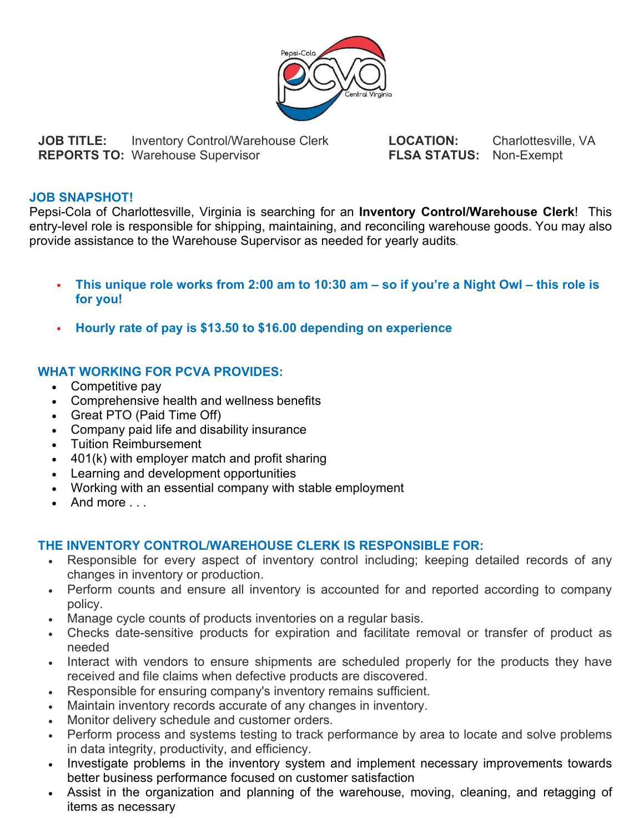

**JOB TITLE:** Inventory Control/Warehouse Clerk **LOCATION:** Charlottesville, VA<br> **REPORTS TO:** Warehouse Supervisor **FLSA STATUS:** Non-Exempt **REPORTS TO: Warehouse Supervisor** 

## **JOB SNAPSHOT!**

Pepsi-Cola of Charlottesville, Virginia is searching for an **Inventory Control/Warehouse Clerk**! This entry-level role is responsible for shipping, maintaining, and reconciling warehouse goods. You may also provide assistance to the Warehouse Supervisor as needed for yearly audits.

- **This unique role works from 2:00 am to 10:30 am – so if you're a Night Owl – this role is for you!**
- **Hourly rate of pay is \$13.50 to \$16.00 depending on experience**

## **WHAT WORKING FOR PCVA PROVIDES:**

- Competitive pay
- Comprehensive health and wellness benefits
- Great PTO (Paid Time Off)
- Company paid life and disability insurance
- Tuition Reimbursement
- 401(k) with employer match and profit sharing
- Learning and development opportunities
- Working with an essential company with stable employment
- And more ...

## **THE INVENTORY CONTROL/WAREHOUSE CLERK IS RESPONSIBLE FOR:**

- Responsible for every aspect of inventory control including; keeping detailed records of any changes in inventory or production.
- Perform counts and ensure all inventory is accounted for and reported according to company policy.
- Manage cycle counts of products inventories on a regular basis.
- Checks date-sensitive products for expiration and facilitate removal or transfer of product as needed
- Interact with vendors to ensure shipments are scheduled properly for the products they have received and file claims when defective products are discovered.
- Responsible for ensuring company's inventory remains sufficient.
- Maintain inventory records accurate of any changes in inventory.
- Monitor delivery schedule and customer orders.
- Perform process and systems testing to track performance by area to locate and solve problems in data integrity, productivity, and efficiency.
- Investigate problems in the inventory system and implement necessary improvements towards better business performance focused on customer satisfaction
- Assist in the organization and planning of the warehouse, moving, cleaning, and retagging of items as necessary